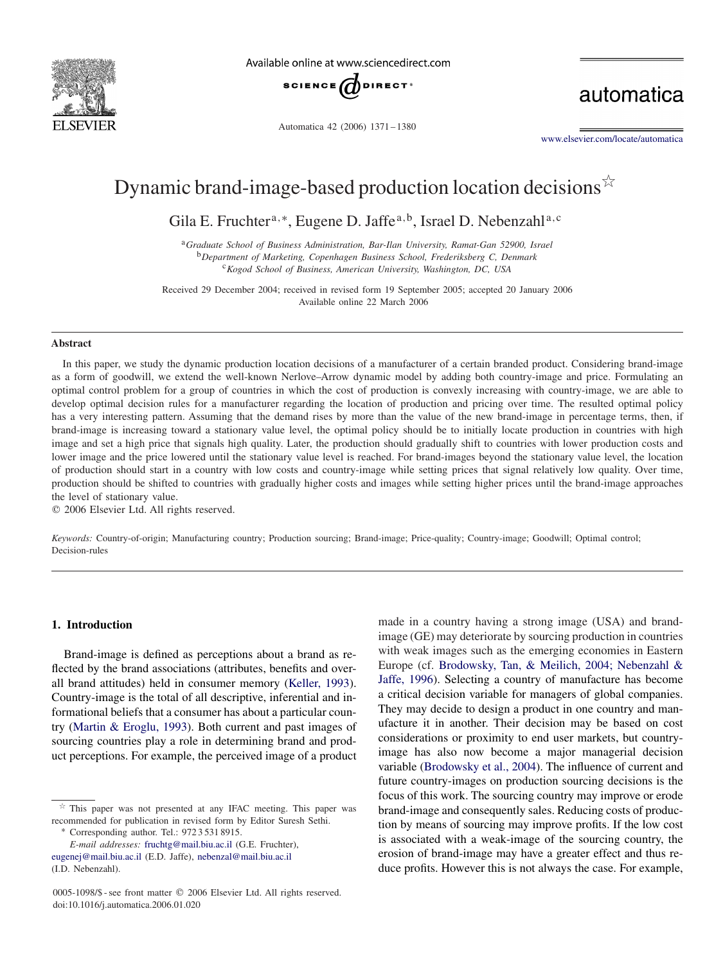

Available online at www.sciencedirect.com



Automatica 42 (2006) 1371 – 1380

automatica

[www.elsevier.com/locate/automatica](http://www.elsevier.com/locate/automatica)

# Dynamic brand-image-based production location decisions  $\overrightarrow{x}$

Gila E. Fruchter<sup>a,∗</sup>, Eugene D. Jaffe<sup>a,b</sup>, Israel D. Nebenzahl<sup>a, c</sup>

<sup>a</sup>*Graduate School of Business Administration, Bar-Ilan University, Ramat-Gan 52900, Israel* <sup>b</sup>*Department of Marketing, Copenhagen Business School, Frederiksberg C, Denmark* <sup>c</sup>*Kogod School of Business, American University, Washington, DC, USA*

Received 29 December 2004; received in revised form 19 September 2005; accepted 20 January 2006 Available online 22 March 2006

### **Abstract**

In this paper, we study the dynamic production location decisions of a manufacturer of a certain branded product. Considering brand-image as a form of goodwill, we extend the well-known Nerlove–Arrow dynamic model by adding both country-image and price. Formulating an optimal control problem for a group of countries in which the cost of production is convexly increasing with country-image, we are able to develop optimal decision rules for a manufacturer regarding the location of production and pricing over time. The resulted optimal policy has a very interesting pattern. Assuming that the demand rises by more than the value of the new brand-image in percentage terms, then, if brand-image is increasing toward a stationary value level, the optimal policy should be to initially locate production in countries with high image and set a high price that signals high quality. Later, the production should gradually shift to countries with lower production costs and lower image and the price lowered until the stationary value level is reached. For brand-images beyond the stationary value level, the location of production should start in a country with low costs and country-image while setting prices that signal relatively low quality. Over time, production should be shifted to countries with gradually higher costs and images while setting higher prices until the brand-image approaches the level of stationary value.

 $© 2006 Elsevier Ltd. All rights reserved.$ 

*Keywords:* Country-of-origin; Manufacturing country; Production sourcing; Brand-image; Price-quality; Country-image; Goodwill; Optimal control; Decision-rules

#### **1. Introduction**

Brand-image is defined as perceptions about a brand as reflected by the brand associations (attributes, benefits and overall brand attitudes) held in consumer memory [\(Keller, 1993\)](#page--1-0). Country-image is the total of all descriptive, inferential and informational beliefs that a consumer has about a particular country [\(Martin & Eroglu, 1993\)](#page--1-0). Both current and past images of sourcing countries play a role in determining brand and product perceptions. For example, the perceived image of a product

Corresponding author. Tel.: 972 3 531 8915.

made in a country having a strong image (USA) and brandimage (GE) may deteriorate by sourcing production in countries with weak images such as the emerging economies in Eastern Europe (cf. Brodowsky, Tan, & Meilich, 2004; Nebenzahl & Jaffe, 1996). Selecting a country of manufacture has become a critical decision variable for managers of global companies. They may decide to design a product in one country and manufacture it in another. Their decision may be based on cost considerations or proximity to end user markets, but countryimage has also now become a major managerial decision variable [\(Brodowsky et al., 2004\)](#page--1-0). The influence of current and future country-images on production sourcing decisions is the focus of this work. The sourcing country may improve or erode brand-image and consequently sales. Reducing costs of production by means of sourcing may improve profits. If the low cost is associated with a weak-image of the sourcing country, the erosion of brand-image may have a greater effect and thus reduce profits. However this is not always the case. For example,

 $\overrightarrow{r}$  This paper was not presented at any IFAC meeting. This paper was recommended for publication in revised form by Editor Suresh Sethi.

*E-mail addresses:* [fruchtg@mail.biu.ac.il](mailto:fruchtg@mail.biu.ac.il) (G.E. Fruchter), [eugenej@mail.biu.ac.il](mailto:eugenej@mail.biu.ac.il) (E.D. Jaffe), [nebenzal@mail.biu.ac.il](mailto:nebenzal@mail.biu.ac.il) (I.D. Nebenzahl).

<sup>0005-1098/\$ -</sup> see front matter © 2006 Elsevier Ltd. All rights reserved. doi:10.1016/j.automatica.2006.01.020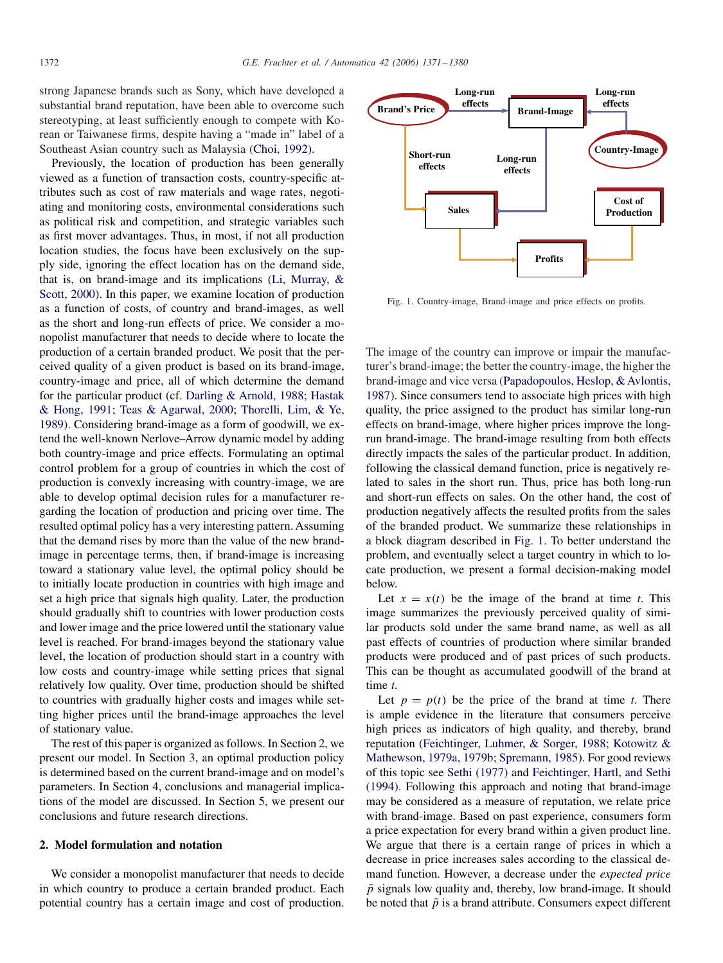strong Japanese brands such as Sony, which have developed a substantial brand reputation, have been able to overcome such stereotyping, at least sufficiently enough to compete with Korean or Taiwanese firms, despite having a "made in" label of a Southeast Asian country such as Malaysia [\(Choi, 1992\)](#page--1-0).

Previously, the location of production has been generally viewed as a function of transaction costs, country-specific attributes such as cost of raw materials and wage rates, negotiating and monitoring costs, environmental considerations such as political risk and competition, and strategic variables such as first mover advantages. Thus, in most, if not all production location studies, the focus have been exclusively on the supply side, ignoring the effect location has on the demand side, that is, on brand-image and its implications [\(Li, Murray, &](#page--1-0) [Scott, 2000\)](#page--1-0). In this paper, we examine location of production as a function of costs, of country and brand-images, as well as the short and long-run effects of price. We consider a monopolist manufacturer that needs to decide where to locate the production of a certain branded product. We posit that the perceived quality of a given product is based on its brand-image, country-image and price, all of which determine the demand for the particular product (cf. Darling & Arnold, 1988; Hastak & Hong, 1991; Teas & Agarwal, 2000; [Thorelli, Lim, & Ye,](#page--1-0) [1989\)](#page--1-0). Considering brand-image as a form of goodwill, we extend the well-known Nerlove–Arrow dynamic model by adding both country-image and price effects. Formulating an optimal control problem for a group of countries in which the cost of production is convexly increasing with country-image, we are able to develop optimal decision rules for a manufacturer regarding the location of production and pricing over time. The resulted optimal policy has a very interesting pattern. Assuming that the demand rises by more than the value of the new brandimage in percentage terms, then, if brand-image is increasing toward a stationary value level, the optimal policy should be to initially locate production in countries with high image and set a high price that signals high quality. Later, the production should gradually shift to countries with lower production costs and lower image and the price lowered until the stationary value level is reached. For brand-images beyond the stationary value level, the location of production should start in a country with low costs and country-image while setting prices that signal relatively low quality. Over time, production should be shifted to countries with gradually higher costs and images while setting higher prices until the brand-image approaches the level of stationary value.

The rest of this paper is organized as follows. In Section 2, we present our model. In Section 3, an optimal production policy is determined based on the current brand-image and on model's parameters. In Section 4, conclusions and managerial implications of the model are discussed. In Section 5, we present our conclusions and future research directions.

### **2. Model formulation and notation**

We consider a monopolist manufacturer that needs to decide in which country to produce a certain branded product. Each potential country has a certain image and cost of production.



Fig. 1. Country-image, Brand-image and price effects on profits.

The image of the country can improve or impair the manufacturer's brand-image; the better the country-image, the higher the brand-image and vice versa [\(Papadopoulos, Heslop, & Avlontis,](#page--1-0) [1987\)](#page--1-0). Since consumers tend to associate high prices with high quality, the price assigned to the product has similar long-run effects on brand-image, where higher prices improve the longrun brand-image. The brand-image resulting from both effects directly impacts the sales of the particular product. In addition, following the classical demand function, price is negatively related to sales in the short run. Thus, price has both long-run and short-run effects on sales. On the other hand, the cost of production negatively affects the resulted profits from the sales of the branded product. We summarize these relationships in a block diagram described in Fig. 1. To better understand the problem, and eventually select a target country in which to locate production, we present a formal decision-making model below.

Let  $x = x(t)$  be the image of the brand at time *t*. This image summarizes the previously perceived quality of similar products sold under the same brand name, as well as all past effects of countries of production where similar branded products were produced and of past prices of such products. This can be thought as accumulated goodwill of the brand at time *t*.

Let  $p = p(t)$  be the price of the brand at time *t*. There is ample evidence in the literature that consumers perceive high prices as indicators of high quality, and thereby, brand reputation (Feichtinger, Luhmer, & Sorger, 1988; Kotowitz & Mathewson, 1979a, 1979b; Spremann, 1985). For good reviews of this topic see [Sethi \(1977\)](#page--1-0) and [Feichtinger, Hartl, and Sethi](#page--1-0) [\(1994\).](#page--1-0) Following this approach and noting that brand-image may be considered as a measure of reputation, we relate price with brand-image. Based on past experience, consumers form a price expectation for every brand within a given product line. We argue that there is a certain range of prices in which a decrease in price increases sales according to the classical demand function. However, a decrease under the *expected price*  $\bar{p}$  signals low quality and, thereby, low brand-image. It should be noted that  $\bar{p}$  is a brand attribute. Consumers expect different